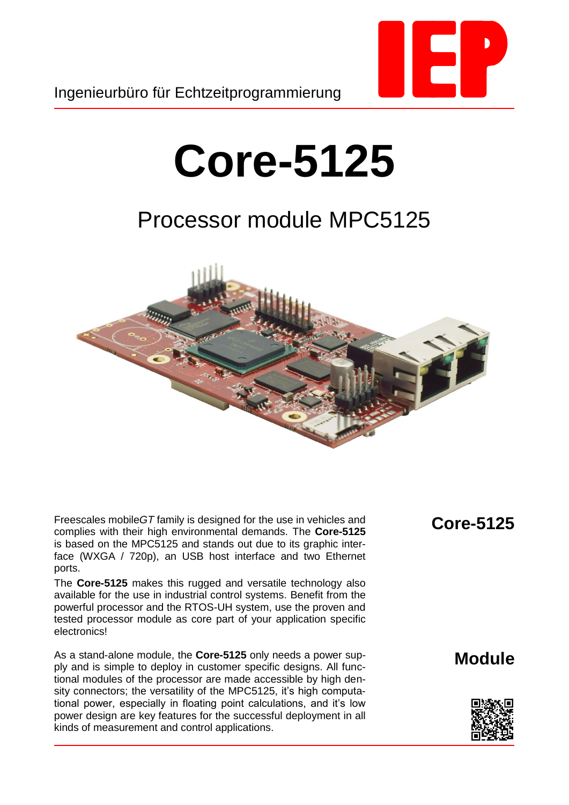

## **Core-5125**

## Processor module MPC5125



Freescales mobile*GT* family is designed for the use in vehicles and complies with their high environmental demands. The **Core-5125** is based on the MPC5125 and stands out due to its graphic interface (WXGA / 720p), an USB host interface and two Ethernet ports.

The **Core-5125** makes this rugged and versatile technology also available for the use in industrial control systems. Benefit from the powerful processor and the RTOS-UH system, use the proven and tested processor module as core part of your application specific electronics!

As a stand-alone module, the **Core-5125** only needs a power supply and is simple to deploy in customer specific designs. All functional modules of the processor are made accessible by high density connectors; the versatility of the MPC5125, it's high computational power, especially in floating point calculations, and it's low power design are key features for the successful deployment in all kinds of measurement and control applications.

**Core-5125**

**Module**